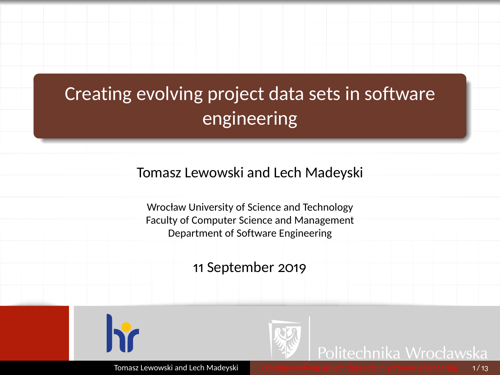# <span id="page-0-0"></span>Creating evolving project data sets in software engineering

#### Tomasz Lewowski and Lech Madeyski

Wrocław University of Science and Technology Faculty of Computer Science and Management Department of Software Engineering

11 September 2019



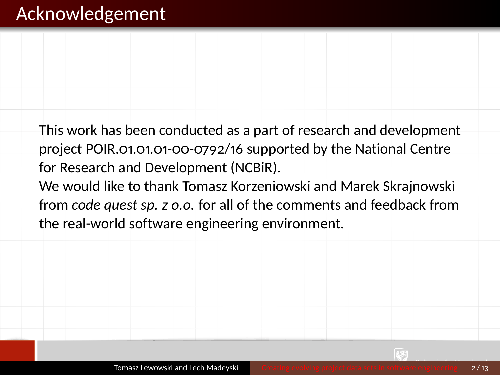### Acknowledgement

This work has been conducted as a part of research and development project POIR.01.01.01-00-0792/16 supported by the National Centre for Research and Development (NCBiR).

We would like to thank Tomasz Korzeniowski and Marek Skrajnowski from *code quest sp. z o.o.* for all of the comments and feedback from the real-world software engineering environment.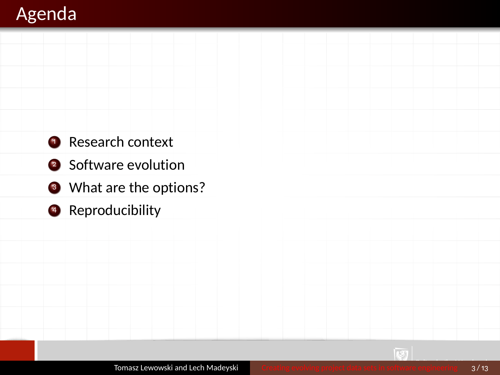## Agenda

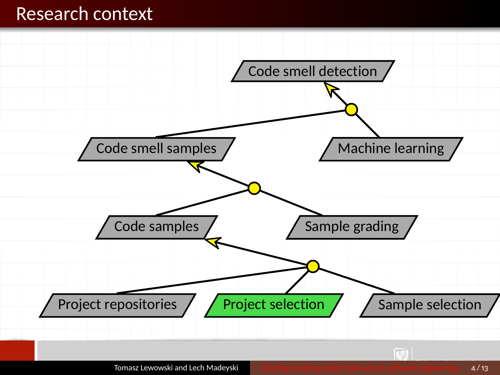#### Research context

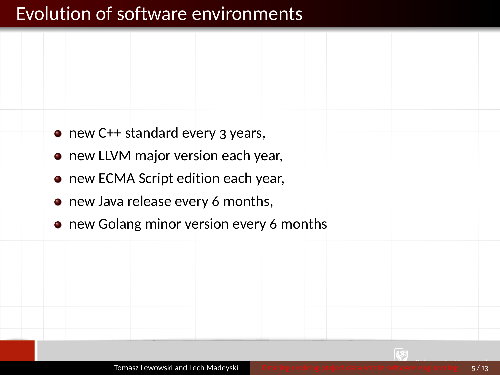## Evolution of software environments

- new C++ standard every 3 years, **•** new LLVM major version each year,
	- **new ECMA Script edition each year,**
	- new Java release every 6 months,
	- new Golang minor version every 6 months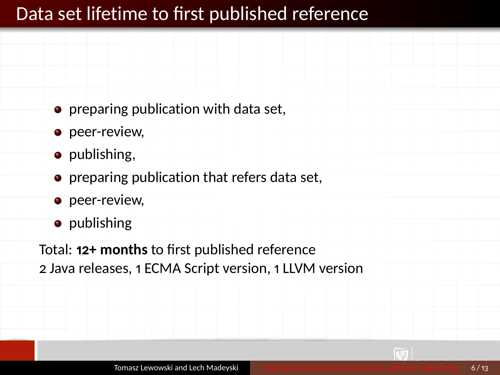## Data set lifetime to first published reference

- **•** preparing publication with data set,
- **o** peer-review,
- publishing,
- **•** preparing publication that refers data set,
- **o** peer-review,
- publishing

Total: **12+ months** to first published reference

2 Java releases, 1 ECMA Script version, 1 LLVM version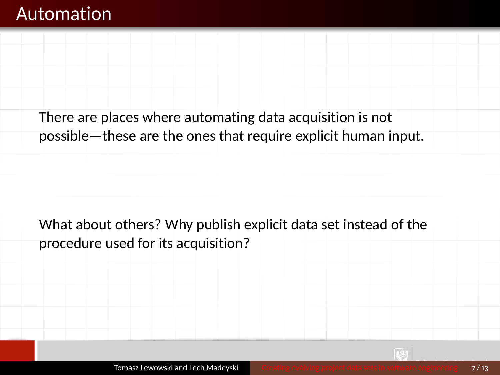#### Automation

There are places where automating data acquisition is not possible—these are the ones that require explicit human input.

What about others? Why publish explicit data set instead of the procedure used for its acquisition?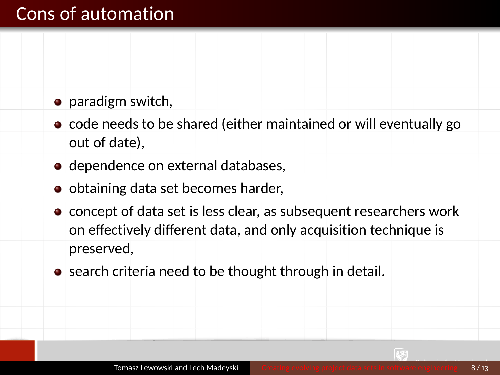### Cons of automation

- paradigm switch,
- code needs to be shared (either maintained or will eventually go out of date),
- dependence on external databases,
- obtaining data set becomes harder,
- concept of data set is less clear, as subsequent researchers work on effectively different data, and only acquisition technique is preserved,
- search criteria need to be thought through in detail.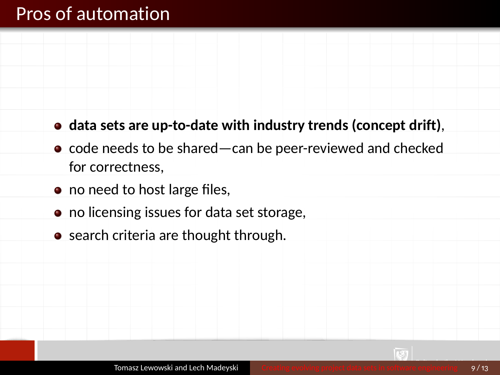#### Pros of automation

- **data sets are up-to-date with industry trends (concept drift)**,
- code needs to be shared—can be peer-reviewed and checked for correctness,
- no need to host large files,
- no licensing issues for data set storage,
- search criteria are thought through.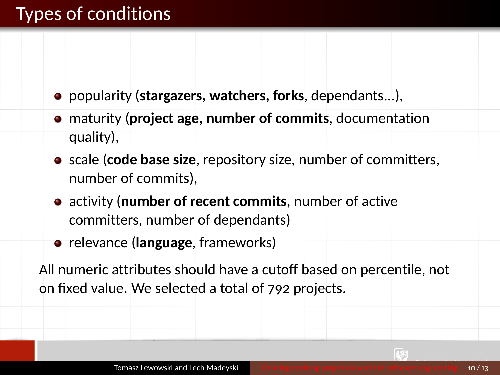## Types of conditions

- popularity (**stargazers, watchers, forks**, dependants...),
- maturity (**project age, number of commits**, documentation quality),
- **•** scale (code base size, repository size, number of committers, number of commits),
- activity (**number of recent commits**, number of active committers, number of dependants)
- **•** relevance (**language**, frameworks)

All numeric attributes should have a cutoff based on percentile, not on fixed value. We selected a total of 792 projects.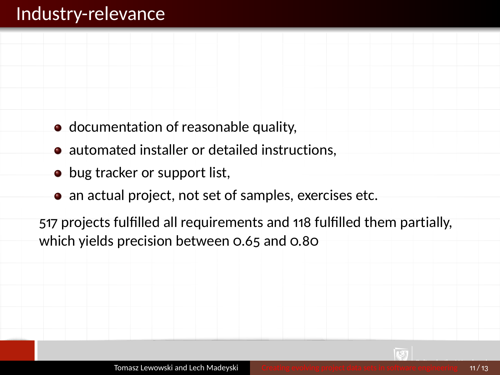### Industry-relevance

- documentation of reasonable quality,
- automated installer or detailed instructions,
- bug tracker or support list,
- an actual project, not set of samples, exercises etc.

517 projects fulfilled all requirements and 118 fulfilled them partially, which yields precision between 0.65 and 0.80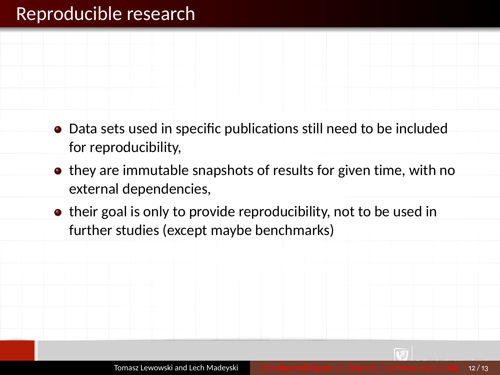#### Reproducible research

- Data sets used in specific publications still need to be included for reproducibility,
- they are immutable snapshots of results for given time, with no external dependencies,
- their goal is only to provide reproducibility, not to be used in further studies (except maybe benchmarks)